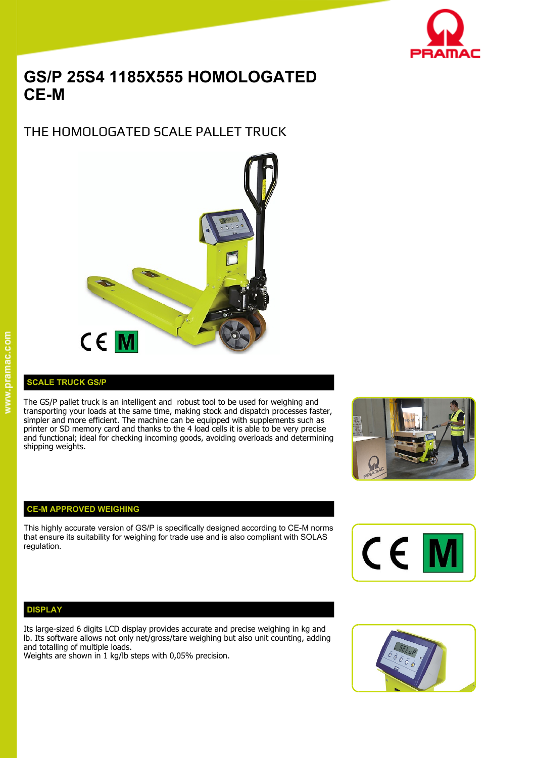

# **GS/P 25S4 1185X555 HOMOLOGATED CE-M**

THE HOMOLOGATED SCALE PALLET TRUCK



### **SCALE TRUCK GS/P**

The GS/P pallet truck is an intelligent and robust tool to be used for weighing and transporting your loads at the same time, making stock and dispatch processes faster, simpler and more efficient. The machine can be equipped with supplements such as printer or SD memory card and thanks to the 4 load cells it is able to be very precise and functional; ideal for checking incoming goods, avoiding overloads and determining shipping weights.



#### **CE-M APPROVED WEIGHING**

This highly accurate version of GS/P is specifically designed according to CE-M norms that ensure its suitability for weighing for trade use and is also compliant with SOLAS regulation. regulation.



#### **DISPLAY**

Its large-sized 6 digits LCD display provides accurate and precise weighing in kg and lb. Its software allows not only net/gross/tare weighing but also unit counting, adding and totalling of multiple loads. Weights are shown in 1 kg/lb steps with 0,05% precision.

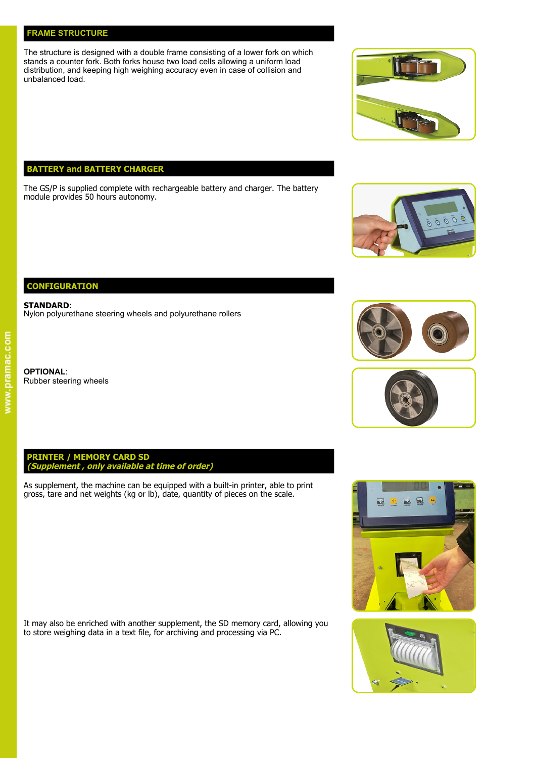#### **FRAME STRUCTURE**

**CONFIGURATION** 

**STANDARD**:

**OPTIONAL**:

Rubber steering wheels

The structure is designed with a double frame consisting of a lower fork on which stands a counter fork. Both forks house two load cells allowing a uniform load distribution, and keeping high weighing accuracy even in case of collision and unbalanced load.

## **BATTERY and BATTERY CHARGER**

The GS/P is supplied complete with rechargeable battery and charger. The battery module provides 50 hours autonomy.

**PRINTER / MEMORY CARD SD (Supplement , only available at time of order)**

Nylon polyurethane steering wheels and polyurethane rollers

As supplement, the machine can be equipped with a built-in printer, able to print gross, tare and net weights (kg or lb), date, quantity of pieces on the scale.

It may also be enriched with another supplement, the SD memory card, allowing you to store weighing data in a text file, for archiving and processing via PC.



 $0000$ 







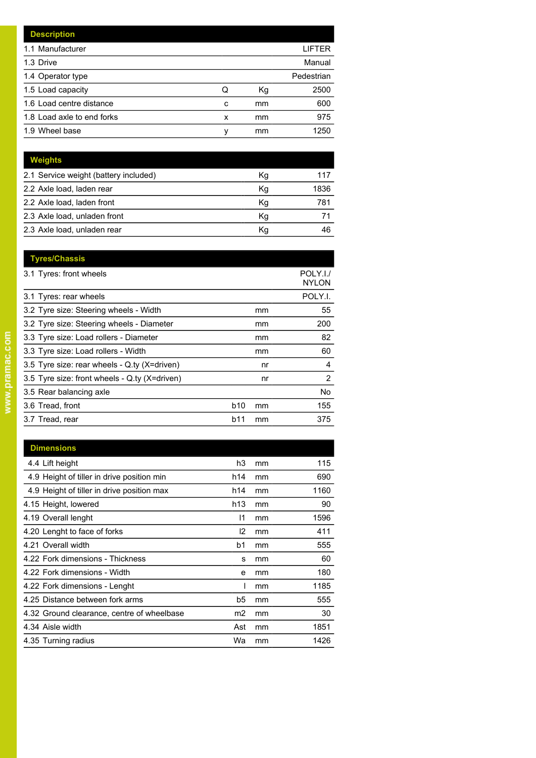| <b>Description</b>         |   |    |            |
|----------------------------|---|----|------------|
| 1.1 Manufacturer           |   |    | LIFTER     |
| 1.3 Drive                  |   |    | Manual     |
| 1.4 Operator type          |   |    | Pedestrian |
| 1.5 Load capacity          | Q | Кg | 2500       |
| 1.6 Load centre distance   | с | mm | 600        |
| 1.8 Load axle to end forks | x | mm | 975        |
| 1.9 Wheel base             | v | mm | 1250       |

| <b>Weights</b>                        |    |      |
|---------------------------------------|----|------|
| 2.1 Service weight (battery included) | Κg | 117  |
| 2.2 Axle load, laden rear             | Kg | 1836 |
| 2.2 Axle load, laden front            | Кg | 781  |
| 2.3 Axle load, unladen front          | Κq |      |
| 2.3 Axle load, unladen rear           | Κq | 46   |

| <b>Tyres/Chassis</b>                          |            |    |                          |
|-----------------------------------------------|------------|----|--------------------------|
| 3.1 Tyres: front wheels                       |            |    | POLY.I./<br><b>NYLON</b> |
| 3.1 Tyres: rear wheels                        |            |    | POLY.I.                  |
| 3.2 Tyre size: Steering wheels - Width        |            | mm | 55                       |
| 3.2 Tyre size: Steering wheels - Diameter     |            | mm | 200                      |
| 3.3 Tyre size: Load rollers - Diameter        |            | mm | 82                       |
| 3.3 Tyre size: Load rollers - Width           |            | mm | 60                       |
| 3.5 Tyre size: rear wheels - Q.ty (X=driven)  |            | nr | 4                        |
| 3.5 Tyre size: front wheels - Q.ty (X=driven) |            | nr | 2                        |
| 3.5 Rear balancing axle                       |            |    | No.                      |
| 3.6 Tread, front                              | <b>b10</b> | mm | 155                      |
| 3.7 Tread, rear                               | b11        | mm | 375                      |
|                                               |            |    |                          |

| <b>Dimensions</b>                          |                |    |      |
|--------------------------------------------|----------------|----|------|
| 4.4 Lift height                            | h3             | mm | 115  |
| 4.9 Height of tiller in drive position min | h14            | mm | 690  |
| 4.9 Height of tiller in drive position max | h14            | mm | 1160 |
| 4.15 Height, lowered                       | h13            | mm | 90   |
| 4.19 Overall lenght                        | 11             | mm | 1596 |
| 4.20 Lenght to face of forks               | $\mathsf{I2}$  | mm | 411  |
| 4.21 Overall width                         | b1             | mm | 555  |
| 4.22 Fork dimensions - Thickness           | s              | mm | 60   |
| 4.22 Fork dimensions - Width               | e              | mm | 180  |
| 4.22 Fork dimensions - Lenght              |                | mm | 1185 |
| 4.25 Distance between fork arms            | b5             | mm | 555  |
| 4.32 Ground clearance, centre of wheelbase | m <sub>2</sub> | mm | 30   |
| 4.34 Aisle width                           | Ast            | mm | 1851 |
| 4.35 Turning radius                        | Wa             | mm | 1426 |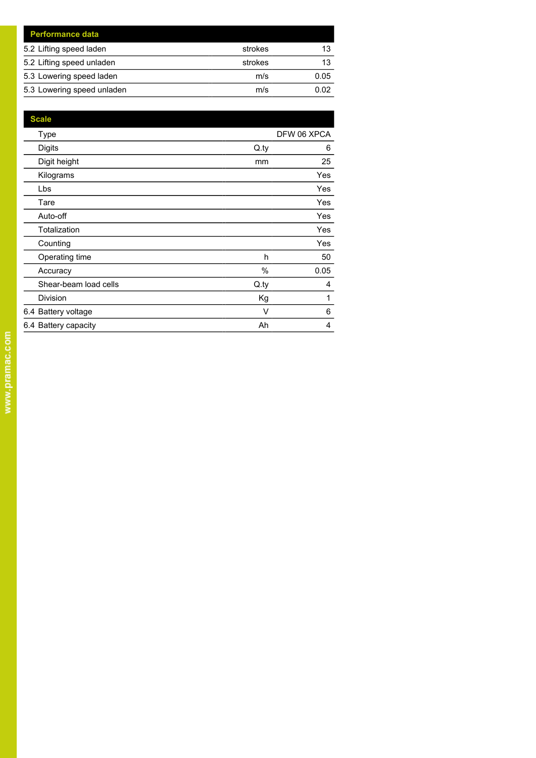| <b>Performance data</b>    |         |      |
|----------------------------|---------|------|
| 5.2 Lifting speed laden    | strokes | 13   |
| 5.2 Lifting speed unladen  | strokes | 13   |
| 5.3 Lowering speed laden   | m/s     | 0.05 |
| 5.3 Lowering speed unladen | m/s     | 0.02 |

| <b>Scale</b>          |      |             |
|-----------------------|------|-------------|
| Type                  |      | DFW 06 XPCA |
| <b>Digits</b>         | Q.py | 6           |
| Digit height          | mm   | 25          |
| Kilograms             |      | <b>Yes</b>  |
| Lbs                   |      | Yes         |
| Tare                  |      | Yes         |
| Auto-off              |      | Yes         |
| Totalization          |      | Yes         |
| Counting              |      | Yes         |
| Operating time        | h    | 50          |
| Accuracy              | %    | 0.05        |
| Shear-beam load cells | Q.py | 4           |
| Division              | Kg   | 1           |
| 6.4 Battery voltage   | V    | 6           |
| 6.4 Battery capacity  | Ah   | 4           |